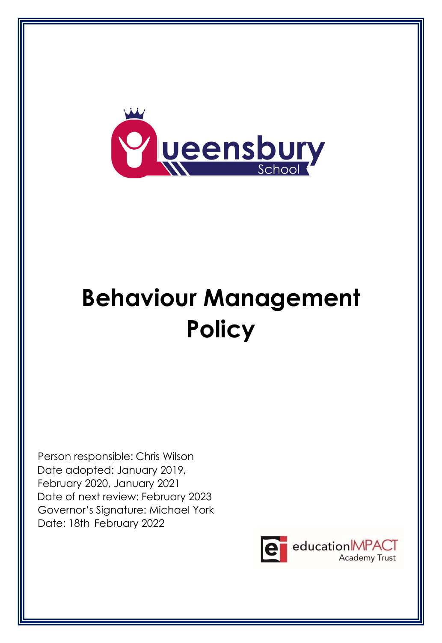

# **Behaviour Management Policy**

Person responsible: Chris Wilson Date adopted: January 2019, February 2020, January 2021 Date of next review: February 2023 Governor's Signature: Michael York Date: 18th February 2022

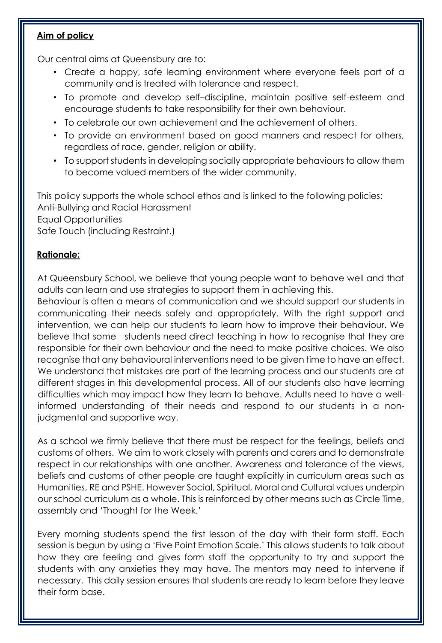## **Aim of policy**

Our central aims at Queensbury are to:

- Create a happy, safe learning environment where everyone feels part of a community and is treated with tolerance and respect.
- To promote and develop self–discipline, maintain positive self-esteem and encourage students to take responsibility for their own behaviour.
- To celebrate our own achievement and the achievement of others.
- To provide an environment based on good manners and respect for others, regardless of race, gender, religion or ability.
- To support students in developing socially appropriate behaviours to allow them to become valued members of the wider community.

This policy supports the whole school ethos and is linked to the following policies: Anti-Bullying and Racial Harassment Equal Opportunities Safe Touch (including Restraint.)

# **Rationale:**

At Queensbury School, we believe that young people want to behave well and that adults can learn and use strategies to support them in achieving this.

Behaviour is often a means of communication and we should support our students in communicating their needs safely and appropriately. With the right support and intervention, we can help our students to learn how to improve their behaviour. We believe that some students need direct teaching in how to recognise that they are responsible for their own behaviour and the need to make positive choices. We also recognise that any behavioural interventions need to be given time to have an effect. We understand that mistakes are part of the learning process and our students are at different stages in this developmental process. All of our students also have learning difficulties which may impact how they learn to behave. Adults need to have a wellinformed understanding of their needs and respond to our students in a nonjudgmental and supportive way.

As a school we firmly believe that there must be respect for the feelings, beliefs and customs of others. We aim to work closely with parents and carers and to demonstrate respect in our relationships with one another. Awareness and tolerance of the views, beliefs and customs of other people are taught explicitly in curriculum areas such as Humanities, RE and PSHE. However Social, Spiritual, Moral and Cultural values underpin our school curriculum as a whole. This is reinforced by other means such as Circle Time, assembly and 'Thought for the Week.'

Every morning students spend the first lesson of the day with their form staff. Each session is begun by using a 'Five Point Emotion Scale.' This allows students to talk about how they are feeling and gives form staff the opportunity to try and support the students with any anxieties they may have. The mentors may need to intervene if necessary. This daily session ensures that students are ready to learn before they leave their form base.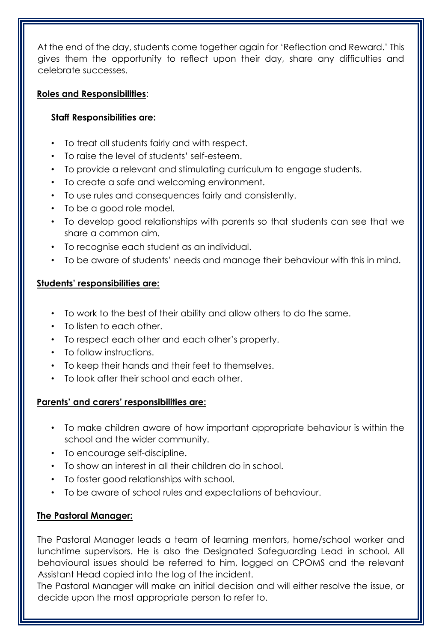At the end of the day, students come together again for 'Reflection and Reward.' This gives them the opportunity to reflect upon their day, share any difficulties and celebrate successes.

# **Roles and Responsibilities**:

# **Staff Responsibilities are:**

- To treat all students fairly and with respect.
- To raise the level of students' self-esteem.
- To provide a relevant and stimulating curriculum to engage students.
- To create a safe and welcoming environment.
- To use rules and consequences fairly and consistently.
- To be a good role model.
- To develop good relationships with parents so that students can see that we share a common aim.
- To recognise each student as an individual.
- To be aware of students' needs and manage their behaviour with this in mind.

# **Students' responsibilities are:**

- To work to the best of their ability and allow others to do the same.
- To listen to each other.
- To respect each other and each other's property.
- To follow instructions.
- To keep their hands and their feet to themselves.
- To look after their school and each other.

# **Parents' and carers' responsibilities are:**

- To make children aware of how important appropriate behaviour is within the school and the wider community.
- To encourage self-discipline.
- To show an interest in all their children do in school.
- To foster good relationships with school.
- To be aware of school rules and expectations of behaviour.

# **The Pastoral Manager:**

The Pastoral Manager leads a team of learning mentors, home/school worker and lunchtime supervisors. He is also the Designated Safeguarding Lead in school. All behavioural issues should be referred to him, logged on CPOMS and the relevant Assistant Head copied into the log of the incident.

The Pastoral Manager will make an initial decision and will either resolve the issue, or decide upon the most appropriate person to refer to.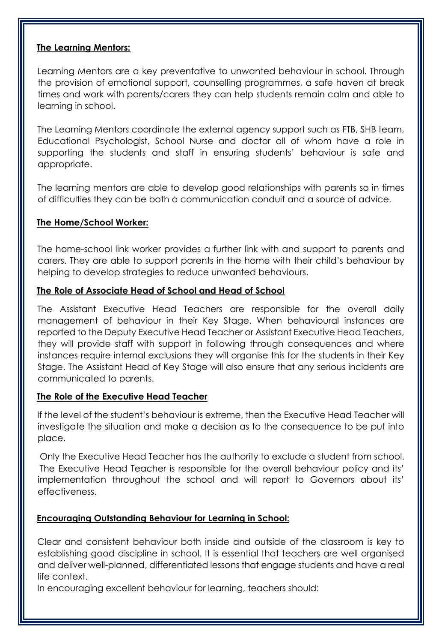### **The Learning Mentors:**

Learning Mentors are a key preventative to unwanted behaviour in school. Through the provision of emotional support, counselling programmes, a safe haven at break times and work with parents/carers they can help students remain calm and able to learning in school.

The Learning Mentors coordinate the external agency support such as FTB, SHB team, Educational Psychologist, School Nurse and doctor all of whom have a role in supporting the students and staff in ensuring students' behaviour is safe and appropriate.

The learning mentors are able to develop good relationships with parents so in times of difficulties they can be both a communication conduit and a source of advice.

## **The Home/School Worker:**

The home-school link worker provides a further link with and support to parents and carers. They are able to support parents in the home with their child's behaviour by helping to develop strategies to reduce unwanted behaviours.

### **The Role of Associate Head of School and Head of School**

The Assistant Executive Head Teachers are responsible for the overall daily management of behaviour in their Key Stage. When behavioural instances are reported to the Deputy Executive Head Teacher or Assistant Executive Head Teachers, they will provide staff with support in following through consequences and where instances require internal exclusions they will organise this for the students in their Key Stage. The Assistant Head of Key Stage will also ensure that any serious incidents are communicated to parents.

### **The Role of the Executive Head Teacher**

If the level of the student's behaviour is extreme, then the Executive Head Teacher will investigate the situation and make a decision as to the consequence to be put into place.

Only the Executive Head Teacher has the authority to exclude a student from school. The Executive Head Teacher is responsible for the overall behaviour policy and its' implementation throughout the school and will report to Governors about its' effectiveness.

# **Encouraging Outstanding Behaviour for Learning in School:**

Clear and consistent behaviour both inside and outside of the classroom is key to establishing good discipline in school. It is essential that teachers are well organised and deliver well-planned, differentiated lessons that engage students and have a real life context.

In encouraging excellent behaviour for learning, teachers should: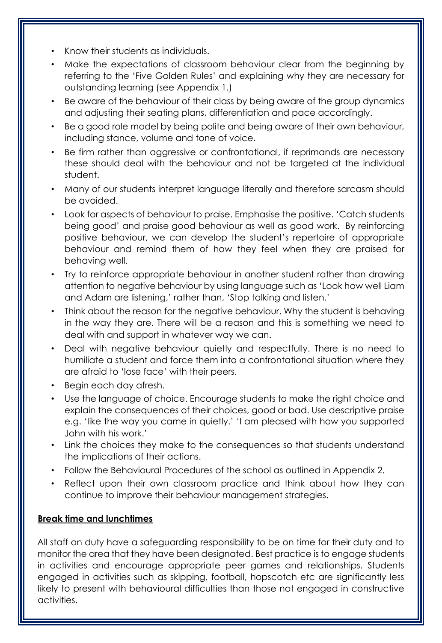- Know their students as individuals.
- Make the expectations of classroom behaviour clear from the beginning by referring to the 'Five Golden Rules' and explaining why they are necessary for outstanding learning (see Appendix 1.)
- Be aware of the behaviour of their class by being aware of the group dynamics and adjusting their seating plans, differentiation and pace accordingly.
- Be a good role model by being polite and being aware of their own behaviour, including stance, volume and tone of voice.
- Be firm rather than aggressive or confrontational, if reprimands are necessary these should deal with the behaviour and not be targeted at the individual student.
- Many of our students interpret language literally and therefore sarcasm should be avoided.
- Look for aspects of behaviour to praise. Emphasise the positive. 'Catch students being good' and praise good behaviour as well as good work. By reinforcing positive behaviour, we can develop the student's repertoire of appropriate behaviour and remind them of how they feel when they are praised for behaving well.
- Try to reinforce appropriate behaviour in another student rather than drawing attention to negative behaviour by using language such as 'Look how well Liam and Adam are listening,' rather than, 'Stop talking and listen.'
- Think about the reason for the negative behaviour. Why the student is behaving in the way they are. There will be a reason and this is something we need to deal with and support in whatever way we can.
- Deal with negative behaviour quietly and respectfully. There is no need to humiliate a student and force them into a confrontational situation where they are afraid to 'lose face' with their peers.
- Begin each day afresh.
- Use the language of choice. Encourage students to make the right choice and explain the consequences of their choices, good or bad. Use descriptive praise e.g. 'Iike the way you came in quietly.' 'I am pleased with how you supported John with his work.'
- Link the choices they make to the consequences so that students understand the implications of their actions.
- Follow the Behavioural Procedures of the school as outlined in Appendix 2.
- Reflect upon their own classroom practice and think about how they can continue to improve their behaviour management strategies.

# **Break time and lunchtimes**

All staff on duty have a safeguarding responsibility to be on time for their duty and to monitor the area that they have been designated. Best practice is to engage students in activities and encourage appropriate peer games and relationships. Students engaged in activities such as skipping, football, hopscotch etc are significantly less likely to present with behavioural difficulties than those not engaged in constructive activities.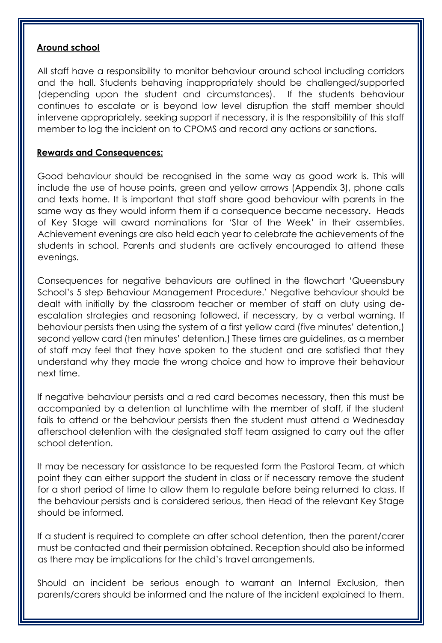#### **Around school**

All staff have a responsibility to monitor behaviour around school including corridors and the hall. Students behaving inappropriately should be challenged/supported (depending upon the student and circumstances). If the students behaviour continues to escalate or is beyond low level disruption the staff member should intervene appropriately, seeking support if necessary, it is the responsibility of this staff member to log the incident on to CPOMS and record any actions or sanctions.

## **Rewards and Consequences:**

Good behaviour should be recognised in the same way as good work is. This will include the use of house points, green and yellow arrows (Appendix 3), phone calls and texts home. It is important that staff share good behaviour with parents in the same way as they would inform them if a consequence became necessary. Heads of Key Stage will award nominations for 'Star of the Week' in their assemblies. Achievement evenings are also held each year to celebrate the achievements of the students in school. Parents and students are actively encouraged to attend these evenings.

Consequences for negative behaviours are outlined in the flowchart 'Queensbury School's 5 step Behaviour Management Procedure.' Negative behaviour should be dealt with initially by the classroom teacher or member of staff on duty using deescalation strategies and reasoning followed, if necessary, by a verbal warning. If behaviour persists then using the system of a first yellow card (five minutes' detention,) second yellow card (ten minutes' detention.) These times are guidelines, as a member of staff may feel that they have spoken to the student and are satisfied that they understand why they made the wrong choice and how to improve their behaviour next time.

If negative behaviour persists and a red card becomes necessary, then this must be accompanied by a detention at lunchtime with the member of staff, if the student fails to attend or the behaviour persists then the student must attend a Wednesday afterschool detention with the designated staff team assigned to carry out the after school detention.

It may be necessary for assistance to be requested form the Pastoral Team, at which point they can either support the student in class or if necessary remove the student for a short period of time to allow them to regulate before being returned to class. If the behaviour persists and is considered serious, then Head of the relevant Key Stage should be informed.

If a student is required to complete an after school detention, then the parent/carer must be contacted and their permission obtained. Reception should also be informed as there may be implications for the child's travel arrangements.

Should an incident be serious enough to warrant an Internal Exclusion, then parents/carers should be informed and the nature of the incident explained to them.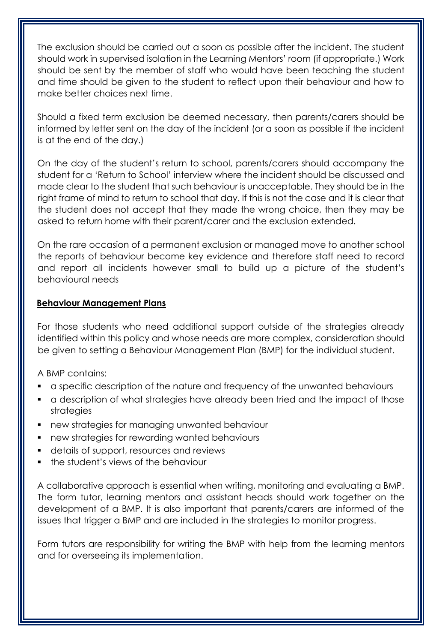The exclusion should be carried out a soon as possible after the incident. The student should work in supervised isolation in the Learning Mentors' room (if appropriate.) Work should be sent by the member of staff who would have been teaching the student and time should be given to the student to reflect upon their behaviour and how to make better choices next time.

Should a fixed term exclusion be deemed necessary, then parents/carers should be informed by letter sent on the day of the incident (or a soon as possible if the incident is at the end of the day.)

On the day of the student's return to school, parents/carers should accompany the student for a 'Return to School' interview where the incident should be discussed and made clear to the student that such behaviour is unacceptable. They should be in the right frame of mind to return to school that day. If this is not the case and it is clear that the student does not accept that they made the wrong choice, then they may be asked to return home with their parent/carer and the exclusion extended.

On the rare occasion of a permanent exclusion or managed move to another school the reports of behaviour become key evidence and therefore staff need to record and report all incidents however small to build up a picture of the student's behavioural needs

## **Behaviour Management Plans**

For those students who need additional support outside of the strategies already identified within this policy and whose needs are more complex, consideration should be given to setting a Behaviour Management Plan (BMP) for the individual student.

A BMP contains:

- a specific description of the nature and frequency of the unwanted behaviours
- a description of what strategies have already been tried and the impact of those strategies
- new strategies for managing unwanted behaviour
- new strategies for rewarding wanted behaviours
- details of support, resources and reviews
- **•** the student's views of the behaviour

A collaborative approach is essential when writing, monitoring and evaluating a BMP. The form tutor, learning mentors and assistant heads should work together on the development of a BMP. It is also important that parents/carers are informed of the issues that trigger a BMP and are included in the strategies to monitor progress.

Form tutors are responsibility for writing the BMP with help from the learning mentors and for overseeing its implementation.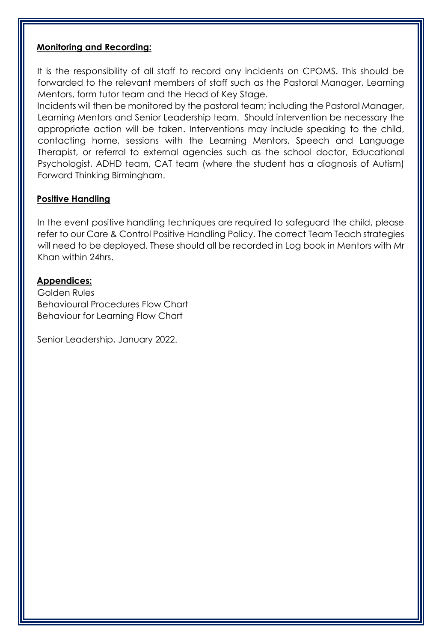#### **Monitoring and Recording:**

It is the responsibility of all staff to record any incidents on CPOMS. This should be forwarded to the relevant members of staff such as the Pastoral Manager, Learning Mentors, form tutor team and the Head of Key Stage.

Incidents will then be monitored by the pastoral team; including the Pastoral Manager, Learning Mentors and Senior Leadership team. Should intervention be necessary the appropriate action will be taken. Interventions may include speaking to the child, contacting home, sessions with the Learning Mentors, Speech and Language Therapist, or referral to external agencies such as the school doctor, Educational Psychologist, ADHD team, CAT team (where the student has a diagnosis of Autism) Forward Thinking Birmingham.

### **Positive Handling**

In the event positive handling techniques are required to safeguard the child, please refer to our Care & Control Positive Handling Policy. The correct Team Teach strategies will need to be deployed. These should all be recorded in Log book in Mentors with Mr Khan within 24hrs.

#### **Appendices:**

Golden Rules Behavioural Procedures Flow Chart Behaviour for Learning Flow Chart

Senior Leadership, January 2022.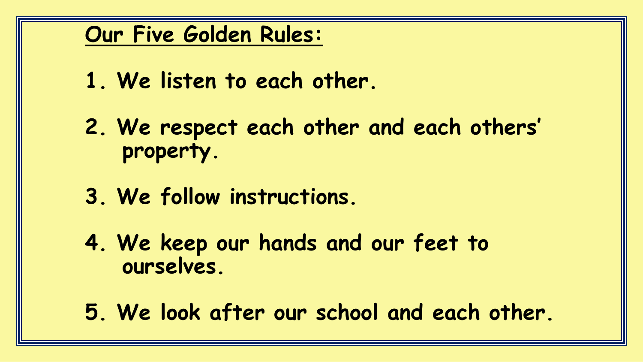# **Our Five Golden Rules:**

- **1. We listen to each other.**
- **2. We respect each other and each others' property.**
- **3. We follow instructions.**
- **4. We keep our hands and our feet to ourselves.**
- **5. We look after our school and each other.**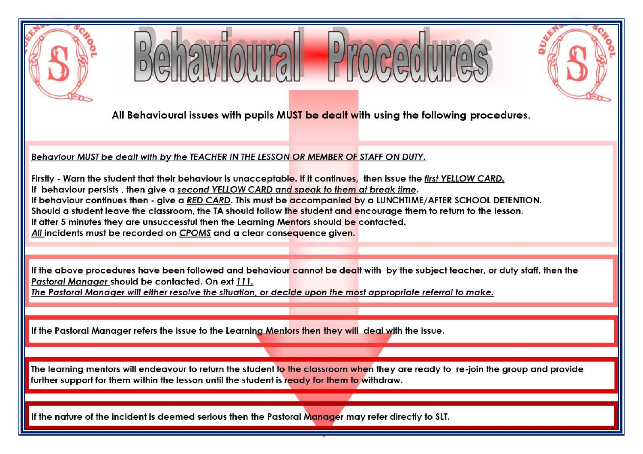





All Behavioural issues with pupils MUST be dealt with using the following procedures.

Behaviour MUST be dealt with by the TEACHER IN THE LESSON OR MEMBER OF STAFF ON DUTY.

Firstly - Warn the student that their behaviour is unacceptable. If it continues, then issue the first YELLOW CARD. If behaviour persists, then give a second YELLOW CARD and speak to them at break time. If behaviour continues then - give a RED CARD. This must be accompanied by a LUNCHTIME/AFTER SCHOOL DETENTION. Should a student leave the classroom, the TA should follow the student and encourage them to return to the lesson. If after 5 minutes they are unsuccessful then the Learning Mentors should be contacted. All incidents must be recorded on CPOMS and a clear consequence given.

If the above procedures have been followed and behaviour cannot be dealt with by the subject teacher, or duty staff, then the Pastoral Manager should be contacted. On ext 111.

The Pastoral Manager will either resolve the situation, or decide upon the most appropriate referral to make.

If the Pastoral Manager refers the issue to the Learning Mentors then they will deal with the issue.

The learning mentors will endeavour to return the student to the classroom when they are ready to re-join the group and provide further support for them within the lesson until the student is ready for them to withdraw.

If the nature of the incident is deemed serious then the Pastoral Manager may refer directly to SLT.